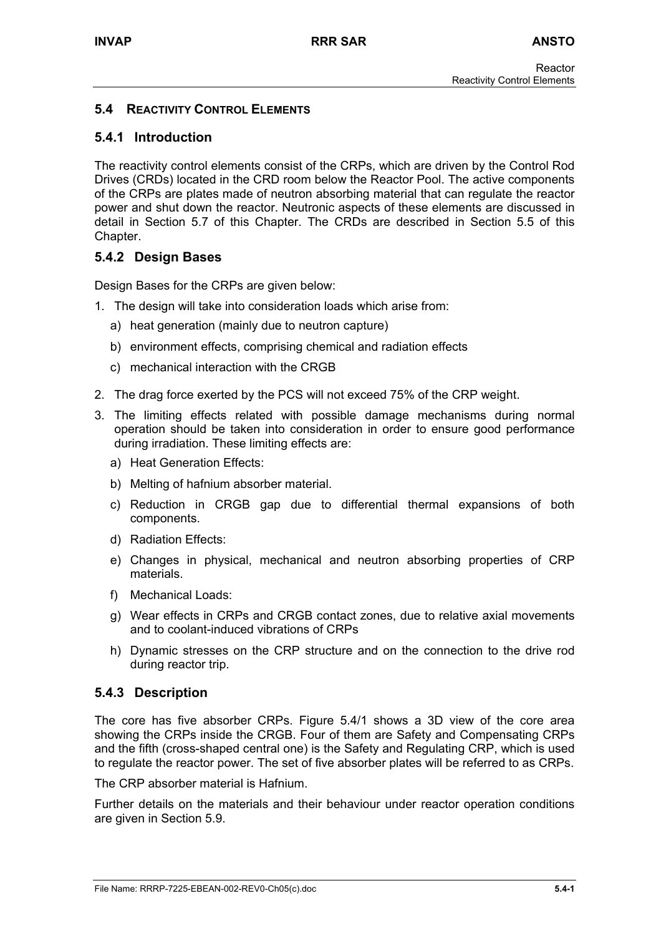# **5.4 REACTIVITY CONTROL ELEMENTS**

# **5.4.1 Introduction**

The reactivity control elements consist of the CRPs, which are driven by the Control Rod Drives (CRDs) located in the CRD room below the Reactor Pool. The active components of the CRPs are plates made of neutron absorbing material that can regulate the reactor power and shut down the reactor. Neutronic aspects of these elements are discussed in detail in Section 5.7 of this Chapter. The CRDs are described in Section 5.5 of this Chapter.

# **5.4.2 Design Bases**

Design Bases for the CRPs are given below:

- 1. The design will take into consideration loads which arise from:
	- a) heat generation (mainly due to neutron capture)
	- b) environment effects, comprising chemical and radiation effects
	- c) mechanical interaction with the CRGB
- 2. The drag force exerted by the PCS will not exceed 75% of the CRP weight.
- 3. The limiting effects related with possible damage mechanisms during normal operation should be taken into consideration in order to ensure good performance during irradiation. These limiting effects are:
	- a) Heat Generation Effects:
	- b) Melting of hafnium absorber material.
	- c) Reduction in CRGB gap due to differential thermal expansions of both components.
	- d) Radiation Effects:
	- e) Changes in physical, mechanical and neutron absorbing properties of CRP materials.
	- f) Mechanical Loads:
	- g) Wear effects in CRPs and CRGB contact zones, due to relative axial movements and to coolant-induced vibrations of CRPs
	- h) Dynamic stresses on the CRP structure and on the connection to the drive rod during reactor trip.

# **5.4.3 Description**

The core has five absorber CRPs. Figure 5.4/1 shows a 3D view of the core area showing the CRPs inside the CRGB. Four of them are Safety and Compensating CRPs and the fifth (cross-shaped central one) is the Safety and Regulating CRP, which is used to regulate the reactor power. The set of five absorber plates will be referred to as CRPs.

The CRP absorber material is Hafnium.

Further details on the materials and their behaviour under reactor operation conditions are given in Section 5.9.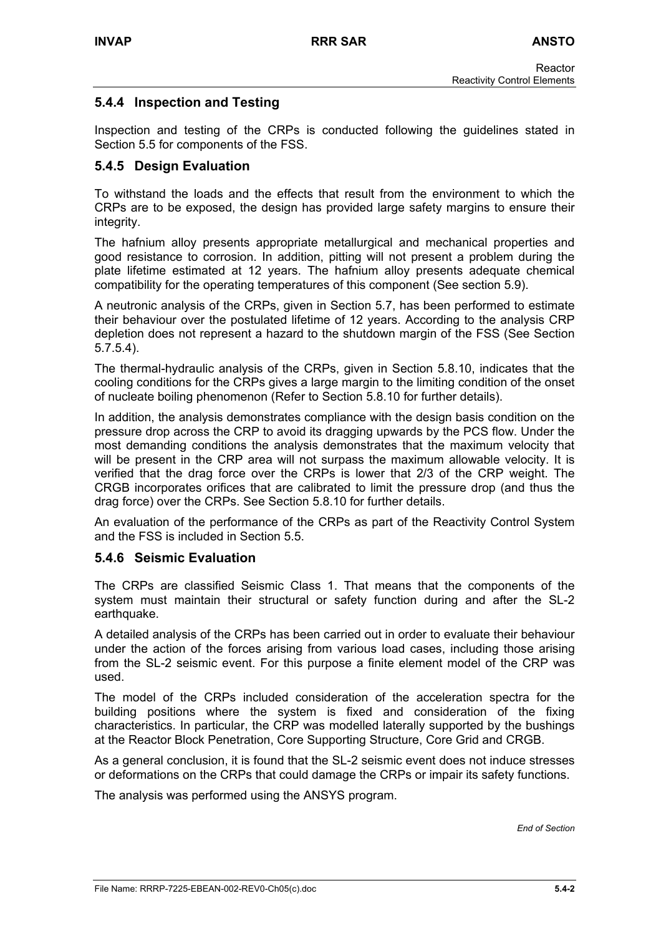# **5.4.4 Inspection and Testing**

Inspection and testing of the CRPs is conducted following the guidelines stated in Section 5.5 for components of the FSS.

# **5.4.5 Design Evaluation**

To withstand the loads and the effects that result from the environment to which the CRPs are to be exposed, the design has provided large safety margins to ensure their integrity.

The hafnium alloy presents appropriate metallurgical and mechanical properties and good resistance to corrosion. In addition, pitting will not present a problem during the plate lifetime estimated at 12 years. The hafnium alloy presents adequate chemical compatibility for the operating temperatures of this component (See section 5.9).

A neutronic analysis of the CRPs, given in Section 5.7, has been performed to estimate their behaviour over the postulated lifetime of 12 years. According to the analysis CRP depletion does not represent a hazard to the shutdown margin of the FSS (See Section 5.7.5.4).

The thermal-hydraulic analysis of the CRPs, given in Section 5.8.10, indicates that the cooling conditions for the CRPs gives a large margin to the limiting condition of the onset of nucleate boiling phenomenon (Refer to Section 5.8.10 for further details).

In addition, the analysis demonstrates compliance with the design basis condition on the pressure drop across the CRP to avoid its dragging upwards by the PCS flow. Under the most demanding conditions the analysis demonstrates that the maximum velocity that will be present in the CRP area will not surpass the maximum allowable velocity. It is verified that the drag force over the CRPs is lower that 2/3 of the CRP weight. The CRGB incorporates orifices that are calibrated to limit the pressure drop (and thus the drag force) over the CRPs. See Section 5.8.10 for further details.

An evaluation of the performance of the CRPs as part of the Reactivity Control System and the FSS is included in Section 5.5.

# **5.4.6 Seismic Evaluation**

The CRPs are classified Seismic Class 1. That means that the components of the system must maintain their structural or safety function during and after the SL-2 earthquake.

A detailed analysis of the CRPs has been carried out in order to evaluate their behaviour under the action of the forces arising from various load cases, including those arising from the SL-2 seismic event. For this purpose a finite element model of the CRP was used.

The model of the CRPs included consideration of the acceleration spectra for the building positions where the system is fixed and consideration of the fixing characteristics. In particular, the CRP was modelled laterally supported by the bushings at the Reactor Block Penetration, Core Supporting Structure, Core Grid and CRGB.

As a general conclusion, it is found that the SL-2 seismic event does not induce stresses or deformations on the CRPs that could damage the CRPs or impair its safety functions.

The analysis was performed using the ANSYS program.

*End of Section*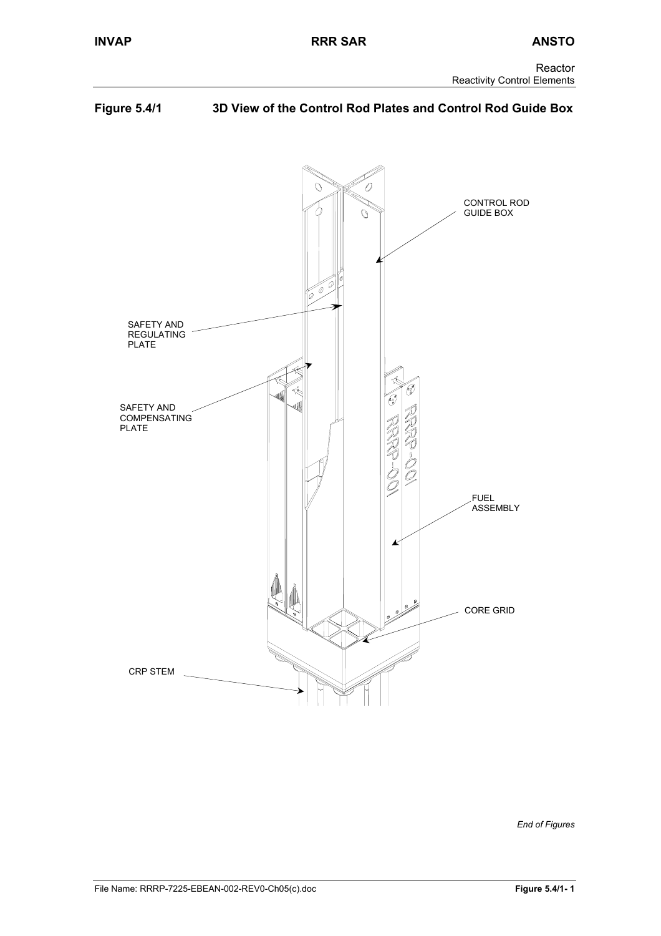# **Figure 5.4/1 3D View of the Control Rod Plates and Control Rod Guide Box**



*End of Figures*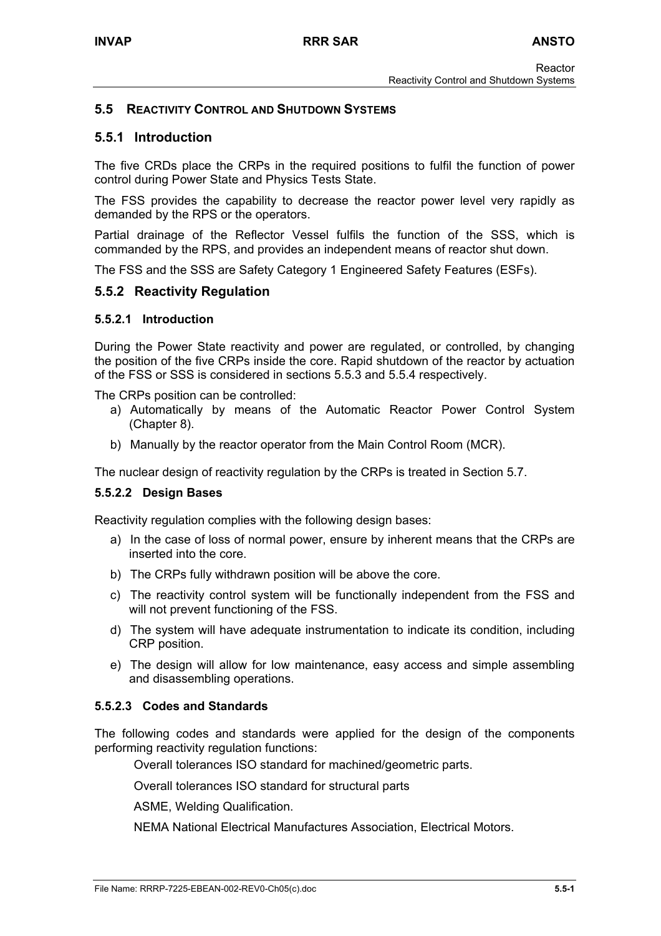## **5.5 REACTIVITY CONTROL AND SHUTDOWN SYSTEMS**

## **5.5.1 Introduction**

The five CRDs place the CRPs in the required positions to fulfil the function of power control during Power State and Physics Tests State.

The FSS provides the capability to decrease the reactor power level very rapidly as demanded by the RPS or the operators.

Partial drainage of the Reflector Vessel fulfils the function of the SSS, which is commanded by the RPS, and provides an independent means of reactor shut down.

The FSS and the SSS are Safety Category 1 Engineered Safety Features (ESFs).

## **5.5.2 Reactivity Regulation**

#### **5.5.2.1 Introduction**

During the Power State reactivity and power are regulated, or controlled, by changing the position of the five CRPs inside the core. Rapid shutdown of the reactor by actuation of the FSS or SSS is considered in sections 5.5.3 and 5.5.4 respectively.

The CRPs position can be controlled:

- a) Automatically by means of the Automatic Reactor Power Control System (Chapter 8).
- b) Manually by the reactor operator from the Main Control Room (MCR).

The nuclear design of reactivity regulation by the CRPs is treated in Section 5.7.

#### **5.5.2.2 Design Bases**

Reactivity regulation complies with the following design bases:

- a) In the case of loss of normal power, ensure by inherent means that the CRPs are inserted into the core.
- b) The CRPs fully withdrawn position will be above the core.
- c) The reactivity control system will be functionally independent from the FSS and will not prevent functioning of the FSS.
- d) The system will have adequate instrumentation to indicate its condition, including CRP position.
- e) The design will allow for low maintenance, easy access and simple assembling and disassembling operations.

#### **5.5.2.3 Codes and Standards**

The following codes and standards were applied for the design of the components performing reactivity regulation functions:

Overall tolerances ISO standard for machined/geometric parts.

Overall tolerances ISO standard for structural parts

ASME, Welding Qualification.

NEMA National Electrical Manufactures Association, Electrical Motors.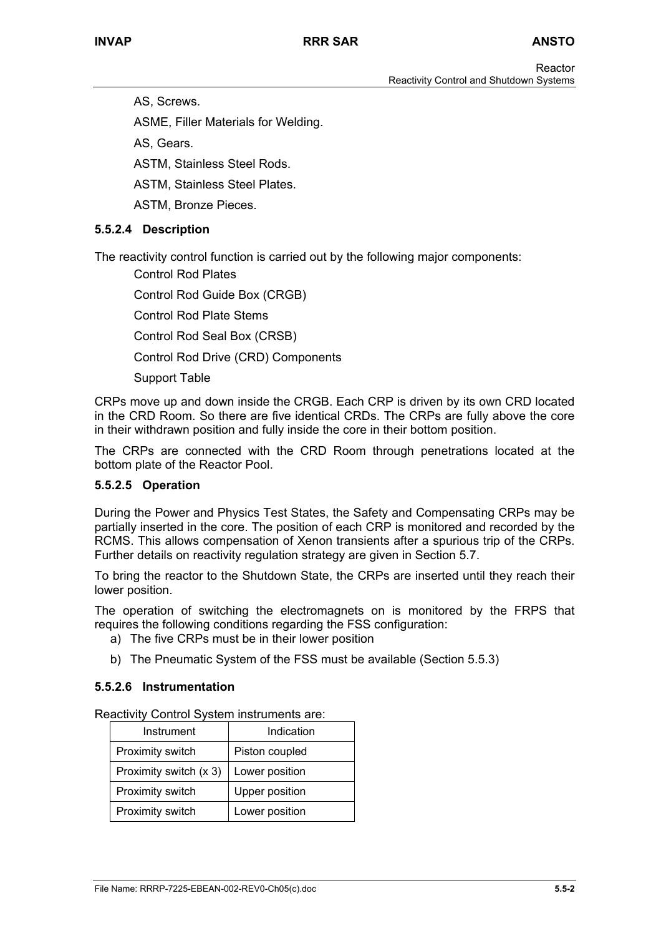AS, Screws.

ASME, Filler Materials for Welding.

AS, Gears.

ASTM, Stainless Steel Rods.

ASTM, Stainless Steel Plates.

ASTM, Bronze Pieces.

## **5.5.2.4 Description**

The reactivity control function is carried out by the following major components:

Control Rod Plates Control Rod Guide Box (CRGB) Control Rod Plate Stems Control Rod Seal Box (CRSB)

Control Rod Drive (CRD) Components

Support Table

CRPs move up and down inside the CRGB. Each CRP is driven by its own CRD located in the CRD Room. So there are five identical CRDs. The CRPs are fully above the core in their withdrawn position and fully inside the core in their bottom position.

The CRPs are connected with the CRD Room through penetrations located at the bottom plate of the Reactor Pool.

# **5.5.2.5 Operation**

During the Power and Physics Test States, the Safety and Compensating CRPs may be partially inserted in the core. The position of each CRP is monitored and recorded by the RCMS. This allows compensation of Xenon transients after a spurious trip of the CRPs. Further details on reactivity regulation strategy are given in Section 5.7.

To bring the reactor to the Shutdown State, the CRPs are inserted until they reach their lower position.

The operation of switching the electromagnets on is monitored by the FRPS that requires the following conditions regarding the FSS configuration:

- a) The five CRPs must be in their lower position
- b) The Pneumatic System of the FSS must be available (Section 5.5.3)

#### **5.5.2.6 Instrumentation**

Reactivity Control System instruments are:

| Instrument             | Indication     |
|------------------------|----------------|
| Proximity switch       | Piston coupled |
| Proximity switch (x 3) | Lower position |
| Proximity switch       | Upper position |
| Proximity switch       | Lower position |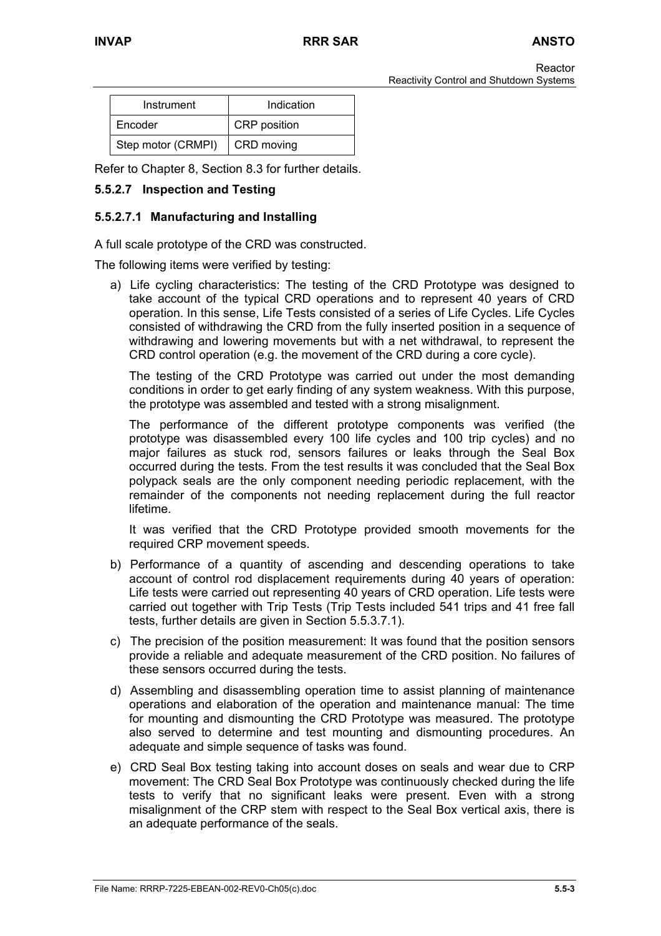| Instrument         | Indication          |
|--------------------|---------------------|
| Encoder            | <b>CRP</b> position |
| Step motor (CRMPI) | CRD moving          |

Refer to Chapter 8, Section 8.3 for further details.

## **5.5.2.7 Inspection and Testing**

## **5.5.2.7.1 Manufacturing and Installing**

A full scale prototype of the CRD was constructed.

The following items were verified by testing:

a) Life cycling characteristics: The testing of the CRD Prototype was designed to take account of the typical CRD operations and to represent 40 years of CRD operation. In this sense, Life Tests consisted of a series of Life Cycles. Life Cycles consisted of withdrawing the CRD from the fully inserted position in a sequence of withdrawing and lowering movements but with a net withdrawal, to represent the CRD control operation (e.g. the movement of the CRD during a core cycle).

The testing of the CRD Prototype was carried out under the most demanding conditions in order to get early finding of any system weakness. With this purpose, the prototype was assembled and tested with a strong misalignment.

The performance of the different prototype components was verified (the prototype was disassembled every 100 life cycles and 100 trip cycles) and no major failures as stuck rod, sensors failures or leaks through the Seal Box occurred during the tests. From the test results it was concluded that the Seal Box polypack seals are the only component needing periodic replacement, with the remainder of the components not needing replacement during the full reactor lifetime.

It was verified that the CRD Prototype provided smooth movements for the required CRP movement speeds.

- b) Performance of a quantity of ascending and descending operations to take account of control rod displacement requirements during 40 years of operation: Life tests were carried out representing 40 years of CRD operation. Life tests were carried out together with Trip Tests (Trip Tests included 541 trips and 41 free fall tests, further details are given in Section 5.5.3.7.1).
- c) The precision of the position measurement: It was found that the position sensors provide a reliable and adequate measurement of the CRD position. No failures of these sensors occurred during the tests.
- d) Assembling and disassembling operation time to assist planning of maintenance operations and elaboration of the operation and maintenance manual: The time for mounting and dismounting the CRD Prototype was measured. The prototype also served to determine and test mounting and dismounting procedures. An adequate and simple sequence of tasks was found.
- e) CRD Seal Box testing taking into account doses on seals and wear due to CRP movement: The CRD Seal Box Prototype was continuously checked during the life tests to verify that no significant leaks were present. Even with a strong misalignment of the CRP stem with respect to the Seal Box vertical axis, there is an adequate performance of the seals.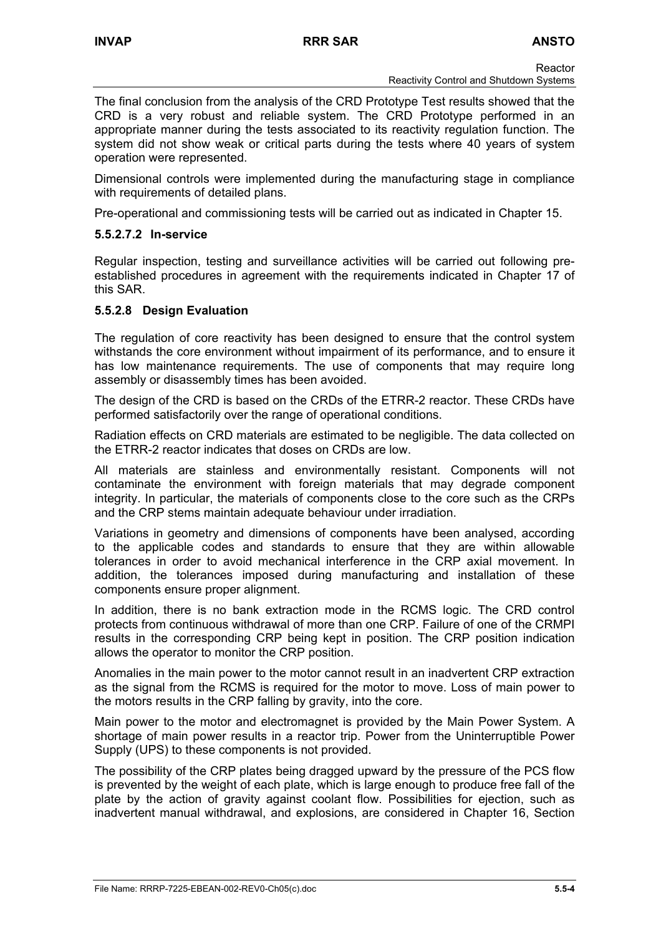The final conclusion from the analysis of the CRD Prototype Test results showed that the CRD is a very robust and reliable system. The CRD Prototype performed in an appropriate manner during the tests associated to its reactivity regulation function. The system did not show weak or critical parts during the tests where 40 years of system operation were represented.

Dimensional controls were implemented during the manufacturing stage in compliance with requirements of detailed plans.

Pre-operational and commissioning tests will be carried out as indicated in Chapter 15.

## **5.5.2.7.2 In-service**

Regular inspection, testing and surveillance activities will be carried out following preestablished procedures in agreement with the requirements indicated in Chapter 17 of this SAR.

## **5.5.2.8 Design Evaluation**

The regulation of core reactivity has been designed to ensure that the control system withstands the core environment without impairment of its performance, and to ensure it has low maintenance requirements. The use of components that may require long assembly or disassembly times has been avoided.

The design of the CRD is based on the CRDs of the ETRR-2 reactor. These CRDs have performed satisfactorily over the range of operational conditions.

Radiation effects on CRD materials are estimated to be negligible. The data collected on the ETRR-2 reactor indicates that doses on CRDs are low.

All materials are stainless and environmentally resistant. Components will not contaminate the environment with foreign materials that may degrade component integrity. In particular, the materials of components close to the core such as the CRPs and the CRP stems maintain adequate behaviour under irradiation.

Variations in geometry and dimensions of components have been analysed, according to the applicable codes and standards to ensure that they are within allowable tolerances in order to avoid mechanical interference in the CRP axial movement. In addition, the tolerances imposed during manufacturing and installation of these components ensure proper alignment.

In addition, there is no bank extraction mode in the RCMS logic. The CRD control protects from continuous withdrawal of more than one CRP. Failure of one of the CRMPI results in the corresponding CRP being kept in position. The CRP position indication allows the operator to monitor the CRP position.

Anomalies in the main power to the motor cannot result in an inadvertent CRP extraction as the signal from the RCMS is required for the motor to move. Loss of main power to the motors results in the CRP falling by gravity, into the core.

Main power to the motor and electromagnet is provided by the Main Power System. A shortage of main power results in a reactor trip. Power from the Uninterruptible Power Supply (UPS) to these components is not provided.

The possibility of the CRP plates being dragged upward by the pressure of the PCS flow is prevented by the weight of each plate, which is large enough to produce free fall of the plate by the action of gravity against coolant flow. Possibilities for ejection, such as inadvertent manual withdrawal, and explosions, are considered in Chapter 16, Section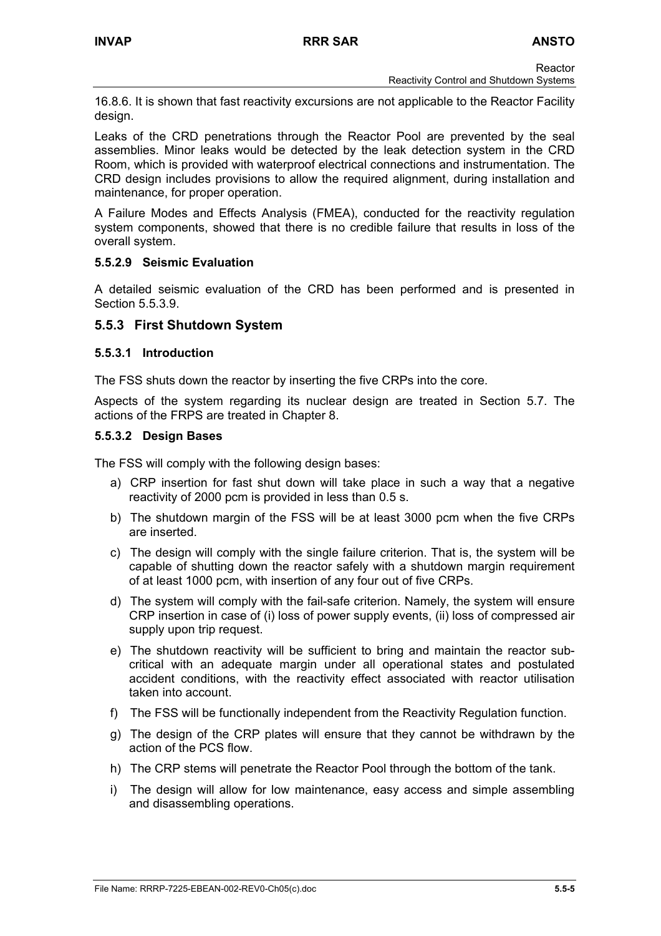Reactor Reactivity Control and Shutdown Systems

16.8.6. It is shown that fast reactivity excursions are not applicable to the Reactor Facility design.

Leaks of the CRD penetrations through the Reactor Pool are prevented by the seal assemblies. Minor leaks would be detected by the leak detection system in the CRD Room, which is provided with waterproof electrical connections and instrumentation. The CRD design includes provisions to allow the required alignment, during installation and maintenance, for proper operation.

A Failure Modes and Effects Analysis (FMEA), conducted for the reactivity regulation system components, showed that there is no credible failure that results in loss of the overall system.

## **5.5.2.9 Seismic Evaluation**

A detailed seismic evaluation of the CRD has been performed and is presented in Section 5.5.3.9

# **5.5.3 First Shutdown System**

#### **5.5.3.1 Introduction**

The FSS shuts down the reactor by inserting the five CRPs into the core.

Aspects of the system regarding its nuclear design are treated in Section 5.7. The actions of the FRPS are treated in Chapter 8.

#### **5.5.3.2 Design Bases**

The FSS will comply with the following design bases:

- a) CRP insertion for fast shut down will take place in such a way that a negative reactivity of 2000 pcm is provided in less than 0.5 s.
- b) The shutdown margin of the FSS will be at least 3000 pcm when the five CRPs are inserted.
- c) The design will comply with the single failure criterion. That is, the system will be capable of shutting down the reactor safely with a shutdown margin requirement of at least 1000 pcm, with insertion of any four out of five CRPs.
- d) The system will comply with the fail-safe criterion. Namely, the system will ensure CRP insertion in case of (i) loss of power supply events, (ii) loss of compressed air supply upon trip request.
- e) The shutdown reactivity will be sufficient to bring and maintain the reactor subcritical with an adequate margin under all operational states and postulated accident conditions, with the reactivity effect associated with reactor utilisation taken into account.
- f) The FSS will be functionally independent from the Reactivity Regulation function.
- g) The design of the CRP plates will ensure that they cannot be withdrawn by the action of the PCS flow.
- h) The CRP stems will penetrate the Reactor Pool through the bottom of the tank.
- i) The design will allow for low maintenance, easy access and simple assembling and disassembling operations.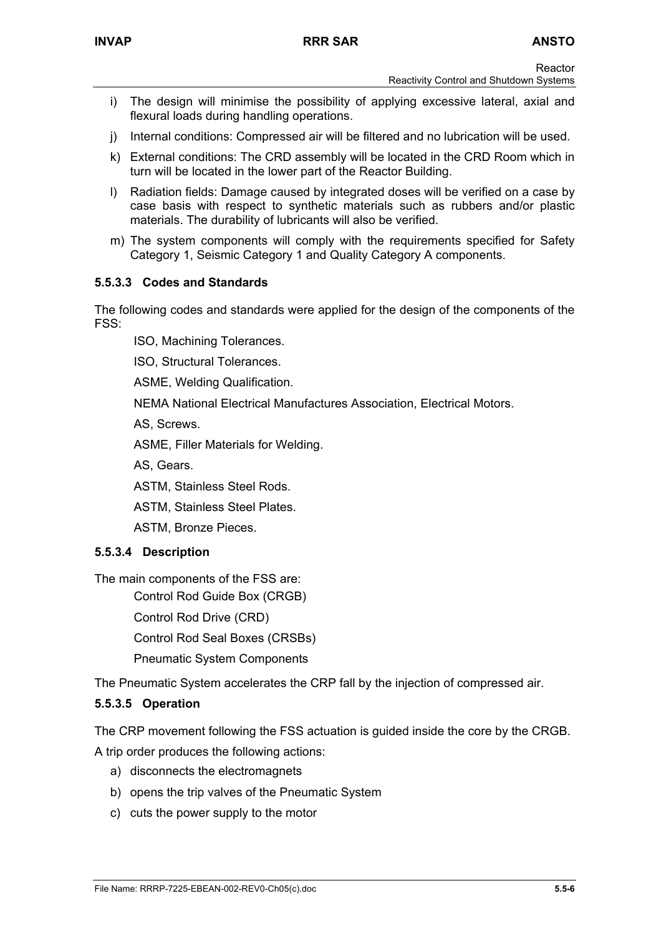**Reactor** 

- Reactivity Control and Shutdown Systems
- i) The design will minimise the possibility of applying excessive lateral, axial and flexural loads during handling operations.
- j) Internal conditions: Compressed air will be filtered and no lubrication will be used.
- k) External conditions: The CRD assembly will be located in the CRD Room which in turn will be located in the lower part of the Reactor Building.
- l) Radiation fields: Damage caused by integrated doses will be verified on a case by case basis with respect to synthetic materials such as rubbers and/or plastic materials. The durability of lubricants will also be verified.
- m) The system components will comply with the requirements specified for Safety Category 1, Seismic Category 1 and Quality Category A components.

## **5.5.3.3 Codes and Standards**

The following codes and standards were applied for the design of the components of the FSS:

ISO, Machining Tolerances.

ISO, Structural Tolerances.

ASME, Welding Qualification.

NEMA National Electrical Manufactures Association, Electrical Motors.

AS, Screws.

ASME, Filler Materials for Welding.

AS, Gears.

ASTM, Stainless Steel Rods.

ASTM, Stainless Steel Plates.

ASTM, Bronze Pieces.

# **5.5.3.4 Description**

The main components of the FSS are:

Control Rod Guide Box (CRGB)

Control Rod Drive (CRD)

Control Rod Seal Boxes (CRSBs)

Pneumatic System Components

The Pneumatic System accelerates the CRP fall by the injection of compressed air.

#### **5.5.3.5 Operation**

The CRP movement following the FSS actuation is guided inside the core by the CRGB.

A trip order produces the following actions:

- a) disconnects the electromagnets
- b) opens the trip valves of the Pneumatic System
- c) cuts the power supply to the motor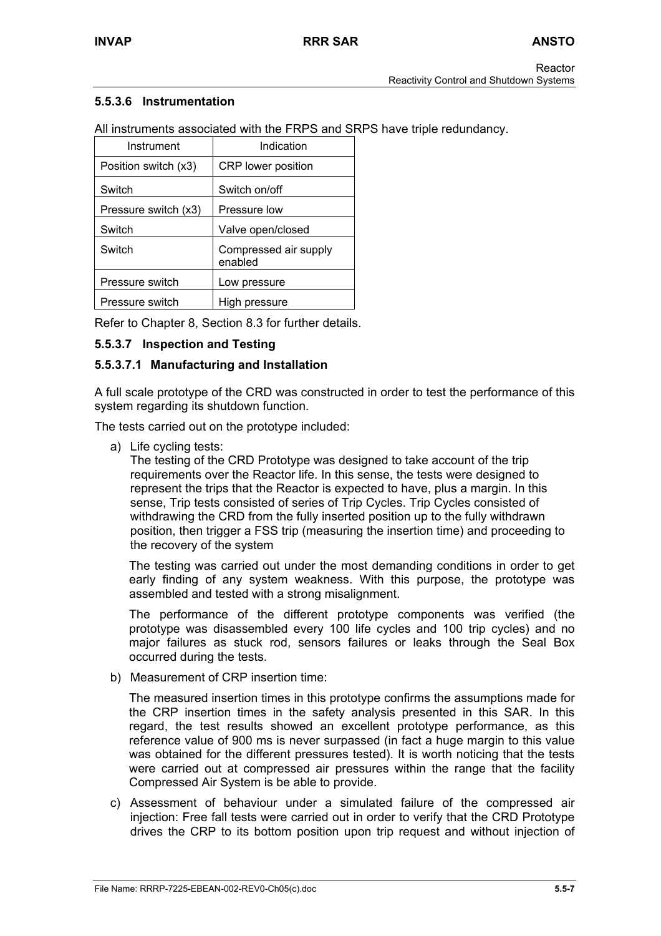# **5.5.3.6 Instrumentation**

All instruments associated with the FRPS and SRPS have triple redundancy.

| Instrument           | Indication                       |
|----------------------|----------------------------------|
| Position switch (x3) | <b>CRP</b> lower position        |
| Switch               | Switch on/off                    |
| Pressure switch (x3) | Pressure low                     |
| Switch               | Valve open/closed                |
| Switch               | Compressed air supply<br>enabled |
| Pressure switch      | Low pressure                     |
| Pressure switch      | High pressure                    |

Refer to Chapter 8, Section 8.3 for further details.

# **5.5.3.7 Inspection and Testing**

## **5.5.3.7.1 Manufacturing and Installation**

A full scale prototype of the CRD was constructed in order to test the performance of this system regarding its shutdown function.

The tests carried out on the prototype included:

a) Life cycling tests:

The testing of the CRD Prototype was designed to take account of the trip requirements over the Reactor life. In this sense, the tests were designed to represent the trips that the Reactor is expected to have, plus a margin. In this sense, Trip tests consisted of series of Trip Cycles. Trip Cycles consisted of withdrawing the CRD from the fully inserted position up to the fully withdrawn position, then trigger a FSS trip (measuring the insertion time) and proceeding to the recovery of the system

The testing was carried out under the most demanding conditions in order to get early finding of any system weakness. With this purpose, the prototype was assembled and tested with a strong misalignment.

The performance of the different prototype components was verified (the prototype was disassembled every 100 life cycles and 100 trip cycles) and no major failures as stuck rod, sensors failures or leaks through the Seal Box occurred during the tests.

b) Measurement of CRP insertion time:

The measured insertion times in this prototype confirms the assumptions made for the CRP insertion times in the safety analysis presented in this SAR. In this regard, the test results showed an excellent prototype performance, as this reference value of 900 ms is never surpassed (in fact a huge margin to this value was obtained for the different pressures tested). It is worth noticing that the tests were carried out at compressed air pressures within the range that the facility Compressed Air System is be able to provide.

c) Assessment of behaviour under a simulated failure of the compressed air injection: Free fall tests were carried out in order to verify that the CRD Prototype drives the CRP to its bottom position upon trip request and without injection of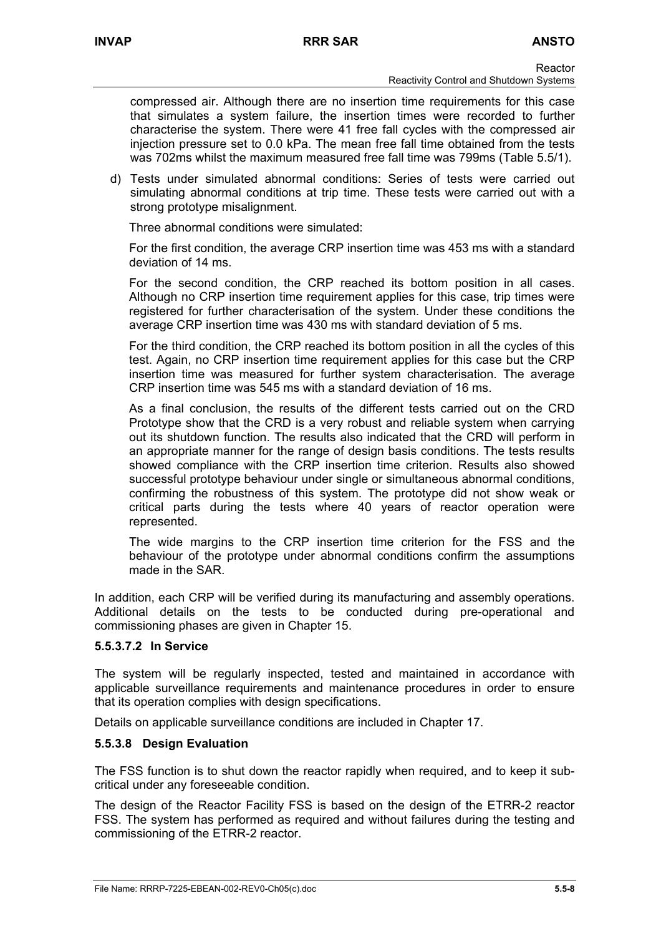compressed air. Although there are no insertion time requirements for this case that simulates a system failure, the insertion times were recorded to further characterise the system. There were 41 free fall cycles with the compressed air injection pressure set to 0.0 kPa. The mean free fall time obtained from the tests was 702ms whilst the maximum measured free fall time was 799ms (Table 5.5/1).

d) Tests under simulated abnormal conditions: Series of tests were carried out simulating abnormal conditions at trip time. These tests were carried out with a strong prototype misalignment.

Three abnormal conditions were simulated:

For the first condition, the average CRP insertion time was 453 ms with a standard deviation of 14 ms.

For the second condition, the CRP reached its bottom position in all cases. Although no CRP insertion time requirement applies for this case, trip times were registered for further characterisation of the system. Under these conditions the average CRP insertion time was 430 ms with standard deviation of 5 ms.

For the third condition, the CRP reached its bottom position in all the cycles of this test. Again, no CRP insertion time requirement applies for this case but the CRP insertion time was measured for further system characterisation. The average CRP insertion time was 545 ms with a standard deviation of 16 ms.

As a final conclusion, the results of the different tests carried out on the CRD Prototype show that the CRD is a very robust and reliable system when carrying out its shutdown function. The results also indicated that the CRD will perform in an appropriate manner for the range of design basis conditions. The tests results showed compliance with the CRP insertion time criterion. Results also showed successful prototype behaviour under single or simultaneous abnormal conditions, confirming the robustness of this system. The prototype did not show weak or critical parts during the tests where 40 years of reactor operation were represented.

The wide margins to the CRP insertion time criterion for the FSS and the behaviour of the prototype under abnormal conditions confirm the assumptions made in the SAR.

In addition, each CRP will be verified during its manufacturing and assembly operations. Additional details on the tests to be conducted during pre-operational and commissioning phases are given in Chapter 15.

# **5.5.3.7.2 In Service**

The system will be regularly inspected, tested and maintained in accordance with applicable surveillance requirements and maintenance procedures in order to ensure that its operation complies with design specifications.

Details on applicable surveillance conditions are included in Chapter 17.

# **5.5.3.8 Design Evaluation**

The FSS function is to shut down the reactor rapidly when required, and to keep it subcritical under any foreseeable condition.

The design of the Reactor Facility FSS is based on the design of the ETRR-2 reactor FSS. The system has performed as required and without failures during the testing and commissioning of the ETRR-2 reactor.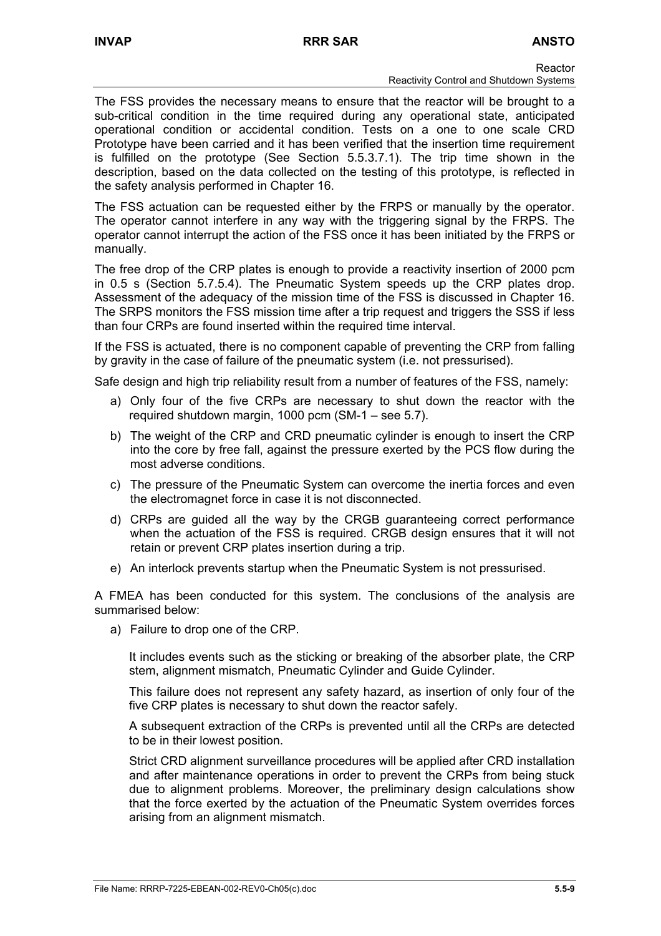The FSS provides the necessary means to ensure that the reactor will be brought to a sub-critical condition in the time required during any operational state, anticipated operational condition or accidental condition. Tests on a one to one scale CRD Prototype have been carried and it has been verified that the insertion time requirement is fulfilled on the prototype (See Section 5.5.3.7.1). The trip time shown in the description, based on the data collected on the testing of this prototype, is reflected in the safety analysis performed in Chapter 16.

The FSS actuation can be requested either by the FRPS or manually by the operator. The operator cannot interfere in any way with the triggering signal by the FRPS. The operator cannot interrupt the action of the FSS once it has been initiated by the FRPS or manually.

The free drop of the CRP plates is enough to provide a reactivity insertion of 2000 pcm in 0.5 s (Section 5.7.5.4). The Pneumatic System speeds up the CRP plates drop. Assessment of the adequacy of the mission time of the FSS is discussed in Chapter 16. The SRPS monitors the FSS mission time after a trip request and triggers the SSS if less than four CRPs are found inserted within the required time interval.

If the FSS is actuated, there is no component capable of preventing the CRP from falling by gravity in the case of failure of the pneumatic system (i.e. not pressurised).

Safe design and high trip reliability result from a number of features of the FSS, namely:

- a) Only four of the five CRPs are necessary to shut down the reactor with the required shutdown margin, 1000 pcm (SM-1 – see 5.7).
- b) The weight of the CRP and CRD pneumatic cylinder is enough to insert the CRP into the core by free fall, against the pressure exerted by the PCS flow during the most adverse conditions.
- c) The pressure of the Pneumatic System can overcome the inertia forces and even the electromagnet force in case it is not disconnected.
- d) CRPs are guided all the way by the CRGB guaranteeing correct performance when the actuation of the FSS is required. CRGB design ensures that it will not retain or prevent CRP plates insertion during a trip.
- e) An interlock prevents startup when the Pneumatic System is not pressurised.

A FMEA has been conducted for this system. The conclusions of the analysis are summarised below:

a) Failure to drop one of the CRP.

It includes events such as the sticking or breaking of the absorber plate, the CRP stem, alignment mismatch, Pneumatic Cylinder and Guide Cylinder.

This failure does not represent any safety hazard, as insertion of only four of the five CRP plates is necessary to shut down the reactor safely.

A subsequent extraction of the CRPs is prevented until all the CRPs are detected to be in their lowest position.

Strict CRD alignment surveillance procedures will be applied after CRD installation and after maintenance operations in order to prevent the CRPs from being stuck due to alignment problems. Moreover, the preliminary design calculations show that the force exerted by the actuation of the Pneumatic System overrides forces arising from an alignment mismatch.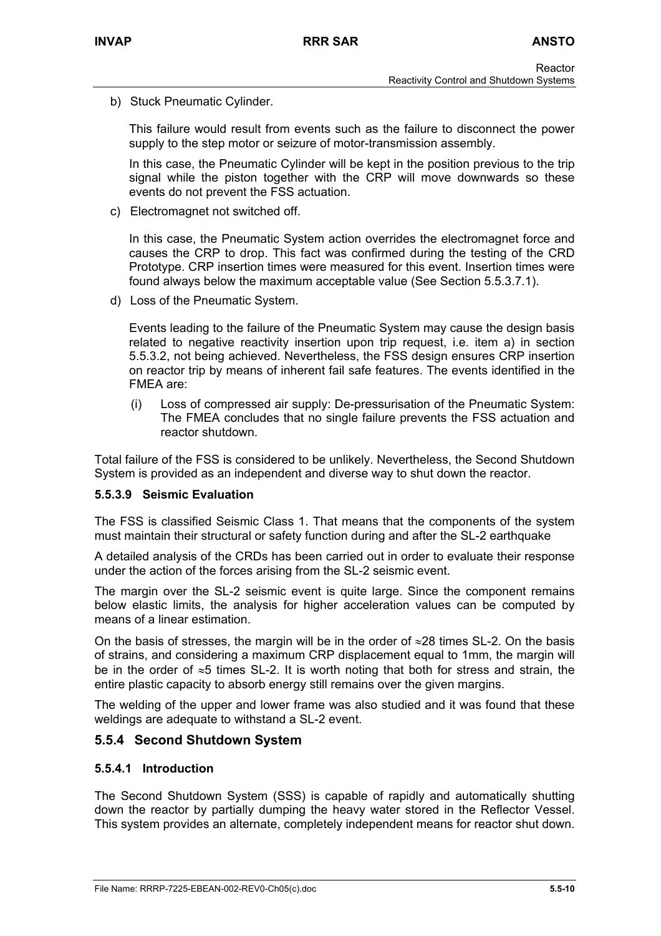b) Stuck Pneumatic Cylinder.

This failure would result from events such as the failure to disconnect the power supply to the step motor or seizure of motor-transmission assembly.

In this case, the Pneumatic Cylinder will be kept in the position previous to the trip signal while the piston together with the CRP will move downwards so these events do not prevent the FSS actuation.

c) Electromagnet not switched off.

In this case, the Pneumatic System action overrides the electromagnet force and causes the CRP to drop. This fact was confirmed during the testing of the CRD Prototype. CRP insertion times were measured for this event. Insertion times were found always below the maximum acceptable value (See Section 5.5.3.7.1).

d) Loss of the Pneumatic System.

Events leading to the failure of the Pneumatic System may cause the design basis related to negative reactivity insertion upon trip request, i.e. item a) in section 5.5.3.2, not being achieved. Nevertheless, the FSS design ensures CRP insertion on reactor trip by means of inherent fail safe features. The events identified in the FMEA are:

(i) Loss of compressed air supply: De-pressurisation of the Pneumatic System: The FMEA concludes that no single failure prevents the FSS actuation and reactor shutdown.

Total failure of the FSS is considered to be unlikely. Nevertheless, the Second Shutdown System is provided as an independent and diverse way to shut down the reactor.

# **5.5.3.9 Seismic Evaluation**

The FSS is classified Seismic Class 1. That means that the components of the system must maintain their structural or safety function during and after the SL-2 earthquake

A detailed analysis of the CRDs has been carried out in order to evaluate their response under the action of the forces arising from the SL-2 seismic event.

The margin over the SL-2 seismic event is quite large. Since the component remains below elastic limits, the analysis for higher acceleration values can be computed by means of a linear estimation.

On the basis of stresses, the margin will be in the order of  $\approx$ 28 times SL-2. On the basis of strains, and considering a maximum CRP displacement equal to 1mm, the margin will be in the order of ≈5 times SL-2. It is worth noting that both for stress and strain, the entire plastic capacity to absorb energy still remains over the given margins.

The welding of the upper and lower frame was also studied and it was found that these weldings are adequate to withstand a SL-2 event.

# **5.5.4 Second Shutdown System**

#### **5.5.4.1 Introduction**

The Second Shutdown System (SSS) is capable of rapidly and automatically shutting down the reactor by partially dumping the heavy water stored in the Reflector Vessel. This system provides an alternate, completely independent means for reactor shut down.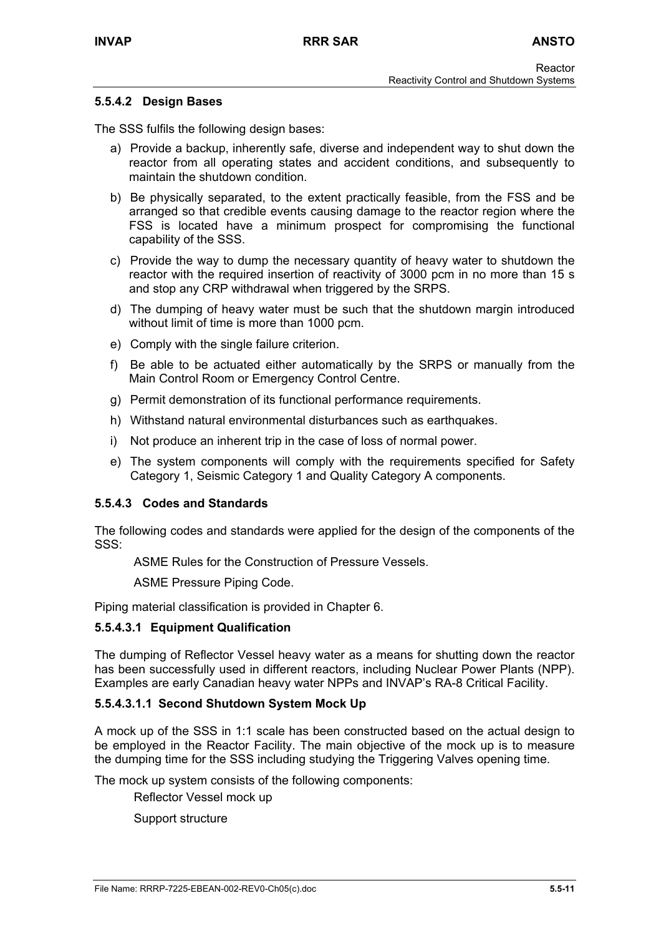#### **5.5.4.2 Design Bases**

The SSS fulfils the following design bases:

- a) Provide a backup, inherently safe, diverse and independent way to shut down the reactor from all operating states and accident conditions, and subsequently to maintain the shutdown condition.
- b) Be physically separated, to the extent practically feasible, from the FSS and be arranged so that credible events causing damage to the reactor region where the FSS is located have a minimum prospect for compromising the functional capability of the SSS.
- c) Provide the way to dump the necessary quantity of heavy water to shutdown the reactor with the required insertion of reactivity of 3000 pcm in no more than 15 s and stop any CRP withdrawal when triggered by the SRPS.
- d) The dumping of heavy water must be such that the shutdown margin introduced without limit of time is more than 1000 pcm.
- e) Comply with the single failure criterion.
- f) Be able to be actuated either automatically by the SRPS or manually from the Main Control Room or Emergency Control Centre.
- g) Permit demonstration of its functional performance requirements.
- h) Withstand natural environmental disturbances such as earthquakes.
- i) Not produce an inherent trip in the case of loss of normal power.
- e) The system components will comply with the requirements specified for Safety Category 1, Seismic Category 1 and Quality Category A components.

#### **5.5.4.3 Codes and Standards**

The following codes and standards were applied for the design of the components of the SSS:

ASME Rules for the Construction of Pressure Vessels.

ASME Pressure Piping Code.

Piping material classification is provided in Chapter 6.

#### **5.5.4.3.1 Equipment Qualification**

The dumping of Reflector Vessel heavy water as a means for shutting down the reactor has been successfully used in different reactors, including Nuclear Power Plants (NPP). Examples are early Canadian heavy water NPPs and INVAP's RA-8 Critical Facility.

#### **5.5.4.3.1.1 Second Shutdown System Mock Up**

A mock up of the SSS in 1:1 scale has been constructed based on the actual design to be employed in the Reactor Facility. The main objective of the mock up is to measure the dumping time for the SSS including studying the Triggering Valves opening time.

The mock up system consists of the following components:

Reflector Vessel mock up

Support structure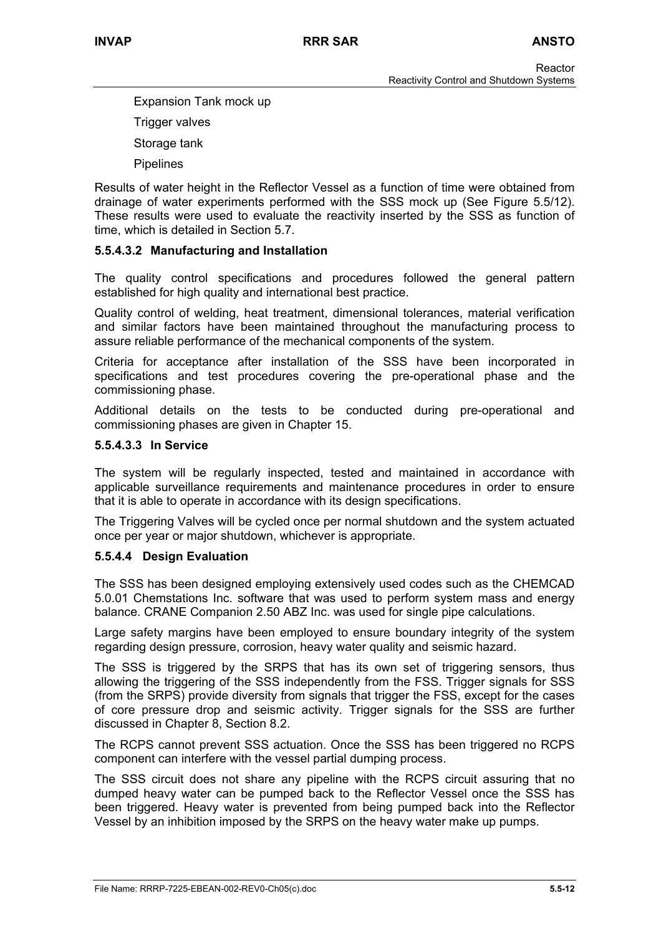Expansion Tank mock up Trigger valves Storage tank Pipelines

Results of water height in the Reflector Vessel as a function of time were obtained from drainage of water experiments performed with the SSS mock up (See Figure 5.5/12). These results were used to evaluate the reactivity inserted by the SSS as function of time, which is detailed in Section 5.7.

## **5.5.4.3.2 Manufacturing and Installation**

The quality control specifications and procedures followed the general pattern established for high quality and international best practice.

Quality control of welding, heat treatment, dimensional tolerances, material verification and similar factors have been maintained throughout the manufacturing process to assure reliable performance of the mechanical components of the system.

Criteria for acceptance after installation of the SSS have been incorporated in specifications and test procedures covering the pre-operational phase and the commissioning phase.

Additional details on the tests to be conducted during pre-operational and commissioning phases are given in Chapter 15.

#### **5.5.4.3.3 In Service**

The system will be regularly inspected, tested and maintained in accordance with applicable surveillance requirements and maintenance procedures in order to ensure that it is able to operate in accordance with its design specifications.

The Triggering Valves will be cycled once per normal shutdown and the system actuated once per year or major shutdown, whichever is appropriate.

#### **5.5.4.4 Design Evaluation**

The SSS has been designed employing extensively used codes such as the CHEMCAD 5.0.01 Chemstations Inc. software that was used to perform system mass and energy balance. CRANE Companion 2.50 ABZ Inc. was used for single pipe calculations.

Large safety margins have been employed to ensure boundary integrity of the system regarding design pressure, corrosion, heavy water quality and seismic hazard.

The SSS is triggered by the SRPS that has its own set of triggering sensors, thus allowing the triggering of the SSS independently from the FSS. Trigger signals for SSS (from the SRPS) provide diversity from signals that trigger the FSS, except for the cases of core pressure drop and seismic activity. Trigger signals for the SSS are further discussed in Chapter 8, Section 8.2.

The RCPS cannot prevent SSS actuation. Once the SSS has been triggered no RCPS component can interfere with the vessel partial dumping process.

The SSS circuit does not share any pipeline with the RCPS circuit assuring that no dumped heavy water can be pumped back to the Reflector Vessel once the SSS has been triggered. Heavy water is prevented from being pumped back into the Reflector Vessel by an inhibition imposed by the SRPS on the heavy water make up pumps.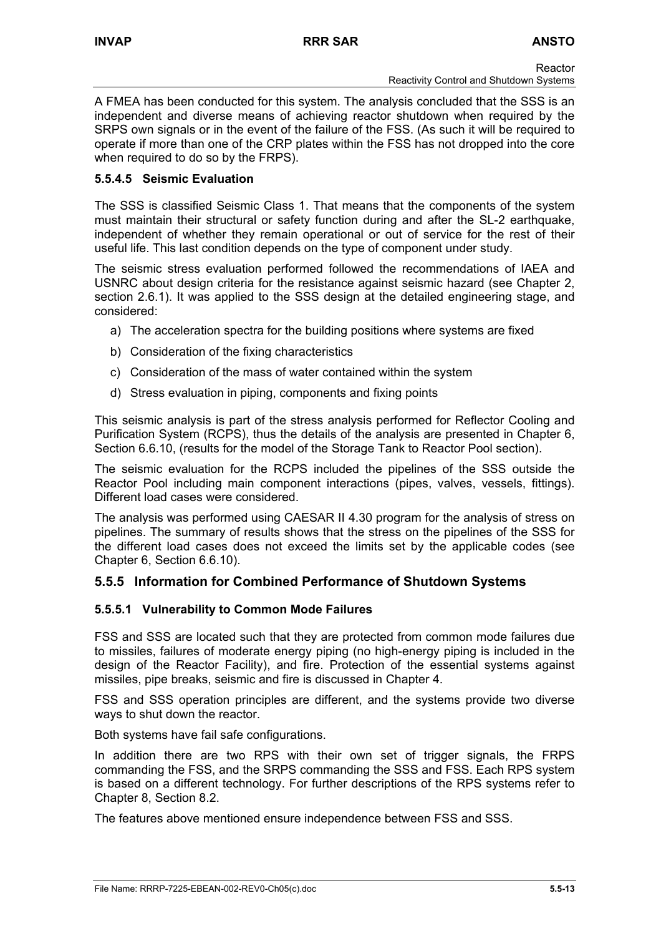A FMEA has been conducted for this system. The analysis concluded that the SSS is an independent and diverse means of achieving reactor shutdown when required by the SRPS own signals or in the event of the failure of the FSS. (As such it will be required to operate if more than one of the CRP plates within the FSS has not dropped into the core when required to do so by the FRPS).

## **5.5.4.5 Seismic Evaluation**

The SSS is classified Seismic Class 1. That means that the components of the system must maintain their structural or safety function during and after the SL-2 earthquake, independent of whether they remain operational or out of service for the rest of their useful life. This last condition depends on the type of component under study.

The seismic stress evaluation performed followed the recommendations of IAEA and USNRC about design criteria for the resistance against seismic hazard (see Chapter 2, section 2.6.1). It was applied to the SSS design at the detailed engineering stage, and considered:

- a) The acceleration spectra for the building positions where systems are fixed
- b) Consideration of the fixing characteristics
- c) Consideration of the mass of water contained within the system
- d) Stress evaluation in piping, components and fixing points

This seismic analysis is part of the stress analysis performed for Reflector Cooling and Purification System (RCPS), thus the details of the analysis are presented in Chapter 6, Section 6.6.10, (results for the model of the Storage Tank to Reactor Pool section).

The seismic evaluation for the RCPS included the pipelines of the SSS outside the Reactor Pool including main component interactions (pipes, valves, vessels, fittings). Different load cases were considered.

The analysis was performed using CAESAR II 4.30 program for the analysis of stress on pipelines. The summary of results shows that the stress on the pipelines of the SSS for the different load cases does not exceed the limits set by the applicable codes (see Chapter 6, Section 6.6.10).

# **5.5.5 Information for Combined Performance of Shutdown Systems**

# **5.5.5.1 Vulnerability to Common Mode Failures**

FSS and SSS are located such that they are protected from common mode failures due to missiles, failures of moderate energy piping (no high-energy piping is included in the design of the Reactor Facility), and fire. Protection of the essential systems against missiles, pipe breaks, seismic and fire is discussed in Chapter 4.

FSS and SSS operation principles are different, and the systems provide two diverse ways to shut down the reactor.

Both systems have fail safe configurations.

In addition there are two RPS with their own set of trigger signals, the FRPS commanding the FSS, and the SRPS commanding the SSS and FSS. Each RPS system is based on a different technology. For further descriptions of the RPS systems refer to Chapter 8, Section 8.2.

The features above mentioned ensure independence between FSS and SSS.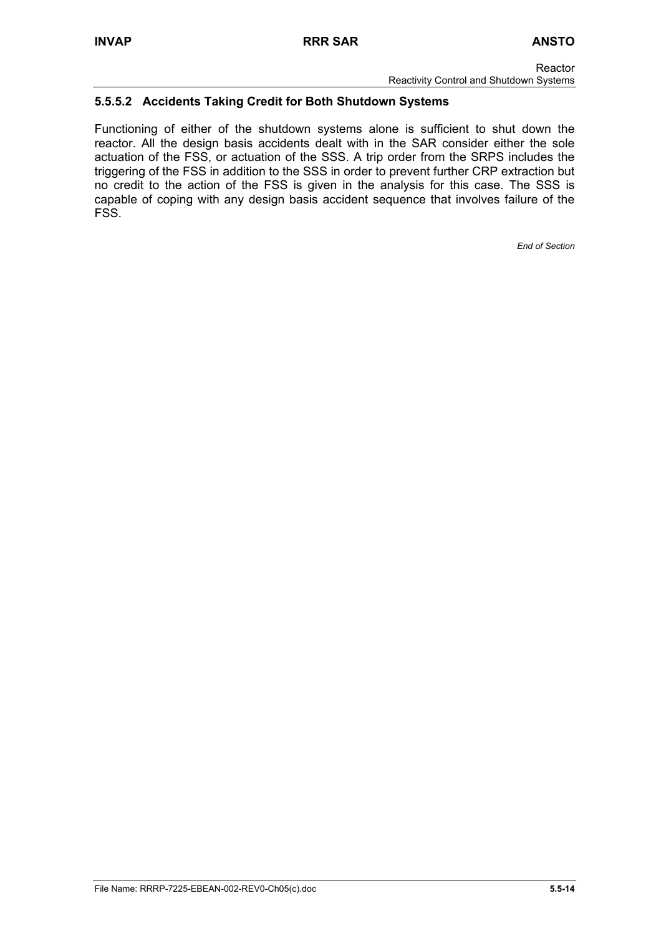# **5.5.5.2 Accidents Taking Credit for Both Shutdown Systems**

Functioning of either of the shutdown systems alone is sufficient to shut down the reactor. All the design basis accidents dealt with in the SAR consider either the sole actuation of the FSS, or actuation of the SSS. A trip order from the SRPS includes the triggering of the FSS in addition to the SSS in order to prevent further CRP extraction but no credit to the action of the FSS is given in the analysis for this case. The SSS is capable of coping with any design basis accident sequence that involves failure of the FSS.

*End of Section*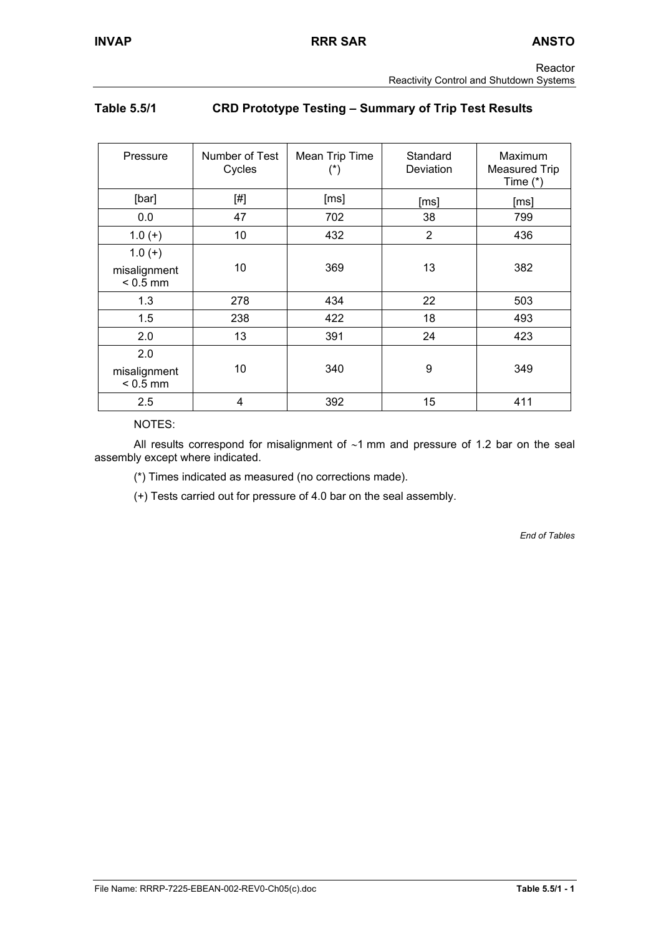# **Table 5.5/1 CRD Prototype Testing – Summary of Trip Test Results**

| Pressure                               | Number of Test<br>Cycles | Mean Trip Time | Standard<br>Deviation | Maximum<br><b>Measured Trip</b><br>Time $(*)$ |
|----------------------------------------|--------------------------|----------------|-----------------------|-----------------------------------------------|
| [bar]                                  | [#]                      | [ms]           | [ms]                  | [ms]                                          |
| 0.0                                    | 47                       | 702            | 38                    | 799                                           |
| $1.0(+)$                               | 10                       | 432            | $\overline{2}$        | 436                                           |
| $1.0(+)$<br>misalignment<br>$< 0.5$ mm | 10                       | 369            | 13                    | 382                                           |
| 1.3                                    | 278                      | 434            | 22                    | 503                                           |
| 1.5                                    | 238                      | 422            | 18                    | 493                                           |
| 2.0                                    | 13                       | 391            | 24                    | 423                                           |
| 2.0<br>misalignment<br>$< 0.5$ mm      | 10                       | 340            | 9                     | 349                                           |
| 2.5                                    | 4                        | 392            | 15                    | 411                                           |

NOTES:

 All results correspond for misalignment of ∼1 mm and pressure of 1.2 bar on the seal assembly except where indicated.

(\*) Times indicated as measured (no corrections made).

(+) Tests carried out for pressure of 4.0 bar on the seal assembly.

*End of Tables*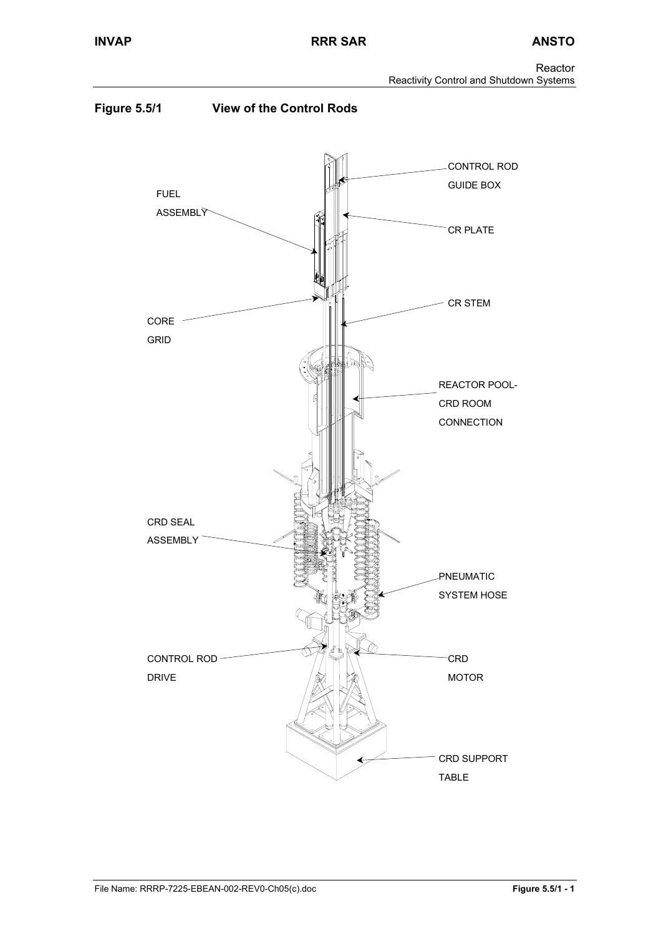Reactor Reactivity Control and Shutdown Systems

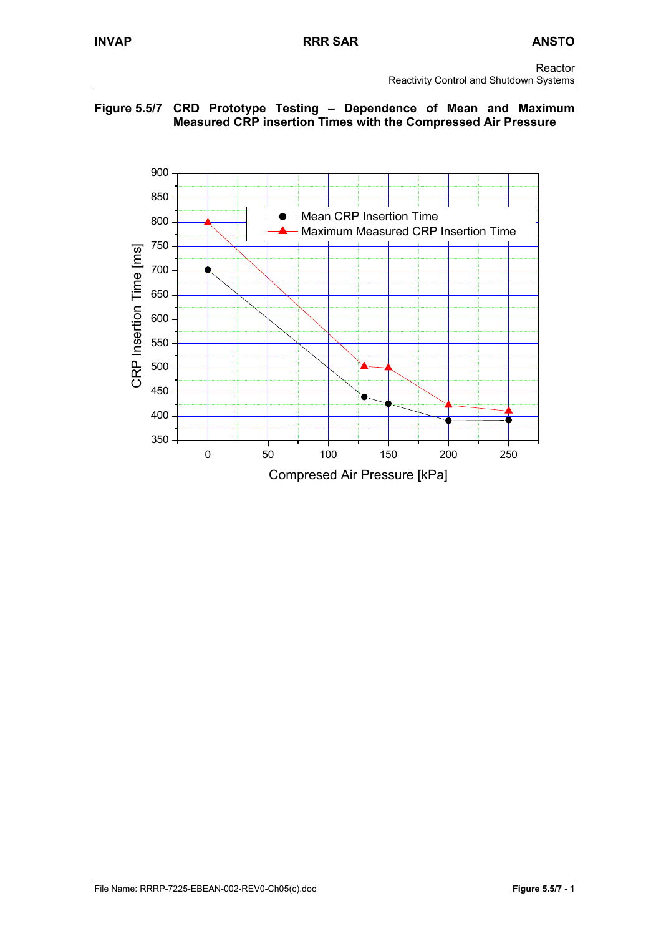## **Figure 5.5/7 CRD Prototype Testing – Dependence of Mean and Maximum Measured CRP insertion Times with the Compressed Air Pressure**

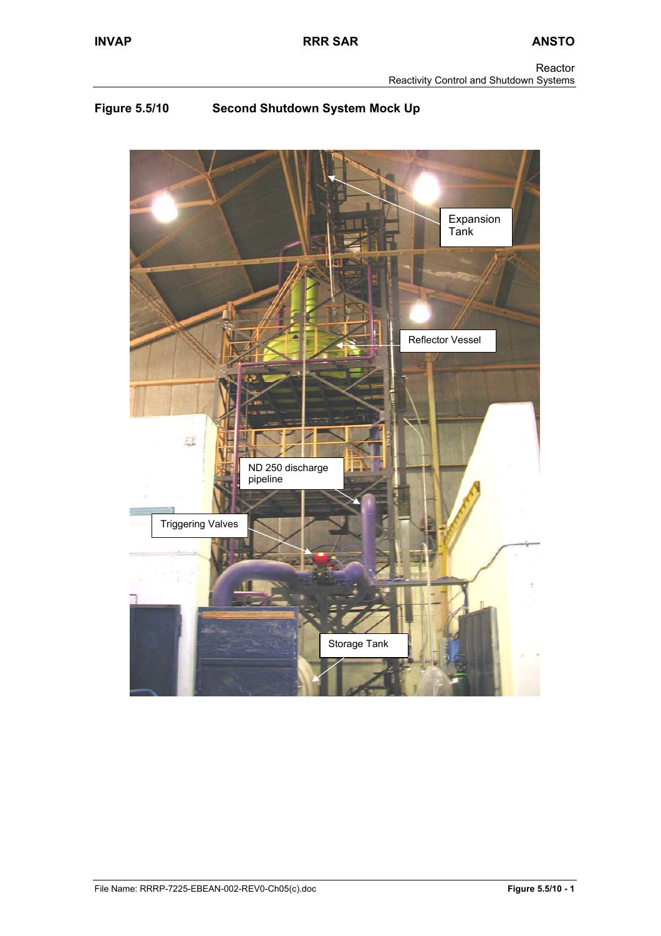# **Figure 5.5/10 Second Shutdown System Mock Up**

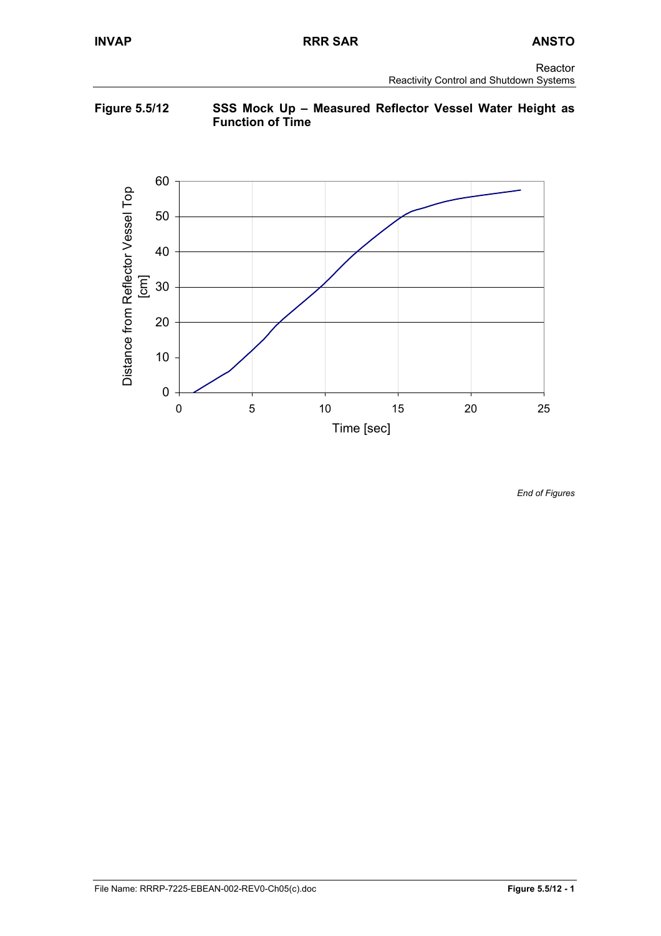## **Figure 5.5/12 SSS Mock Up – Measured Reflector Vessel Water Height as Function of Time**



*End of Figures*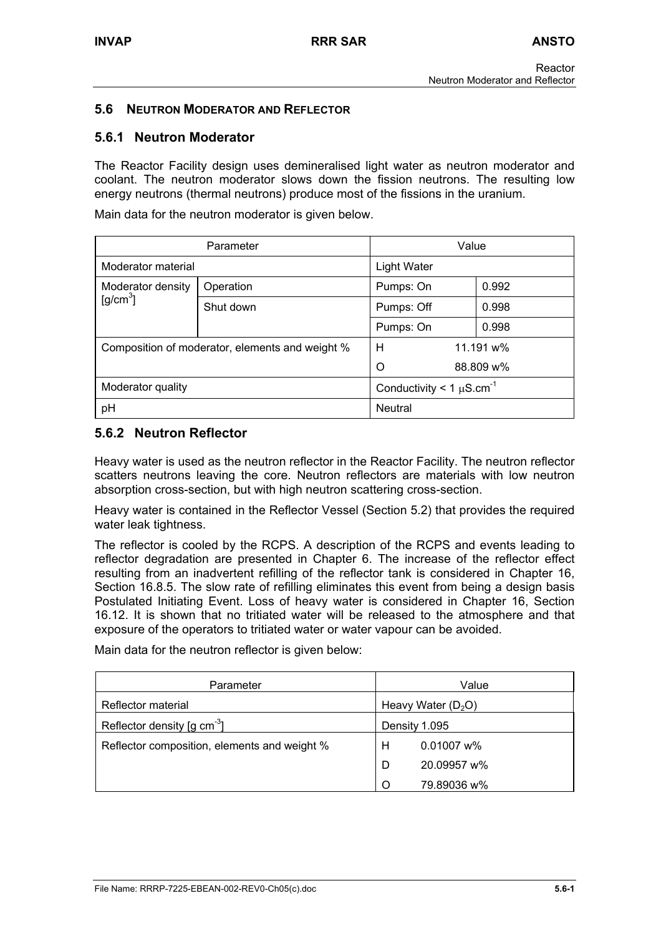# **5.6 NEUTRON MODERATOR AND REFLECTOR**

## **5.6.1 Neutron Moderator**

The Reactor Facility design uses demineralised light water as neutron moderator and coolant. The neutron moderator slows down the fission neutrons. The resulting low energy neutrons (thermal neutrons) produce most of the fissions in the uranium.

Main data for the neutron moderator is given below.

| Parameter                                                      |           | Value              |           |
|----------------------------------------------------------------|-----------|--------------------|-----------|
| Moderator material                                             |           | <b>Light Water</b> |           |
| Moderator density                                              | Operation | Pumps: On          | 0.992     |
| $[g/cm^3]$                                                     | Shut down | Pumps: Off         | 0.998     |
|                                                                |           | Pumps: On          | 0.998     |
| н<br>Composition of moderator, elements and weight %           |           | 11.191 w%          |           |
|                                                                |           | O                  | 88.809 w% |
| Conductivity < 1 $\mu$ S.cm <sup>-1</sup><br>Moderator quality |           |                    |           |
| pH                                                             |           | <b>Neutral</b>     |           |

# **5.6.2 Neutron Reflector**

Heavy water is used as the neutron reflector in the Reactor Facility. The neutron reflector scatters neutrons leaving the core. Neutron reflectors are materials with low neutron absorption cross-section, but with high neutron scattering cross-section.

Heavy water is contained in the Reflector Vessel (Section 5.2) that provides the required water leak tightness.

The reflector is cooled by the RCPS. A description of the RCPS and events leading to reflector degradation are presented in Chapter 6. The increase of the reflector effect resulting from an inadvertent refilling of the reflector tank is considered in Chapter 16, Section 16.8.5. The slow rate of refilling eliminates this event from being a design basis Postulated Initiating Event. Loss of heavy water is considered in Chapter 16, Section 16.12. It is shown that no tritiated water will be released to the atmosphere and that exposure of the operators to tritiated water or water vapour can be avoided.

Main data for the neutron reflector is given below:

| Parameter                                            | Value                |  |
|------------------------------------------------------|----------------------|--|
| Reflector material                                   | Heavy Water $(D_2O)$ |  |
| Reflector density $\lceil q \rceil$ cm <sup>-3</sup> | Density 1.095        |  |
| Reflector composition, elements and weight %         | $0.01007$ w%<br>H    |  |
|                                                      | 20.09957 w%<br>D     |  |
|                                                      | 79.89036 w%          |  |